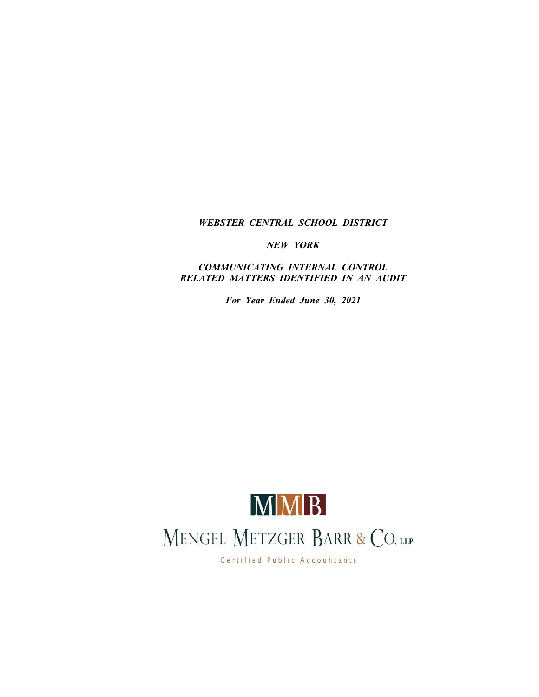# *WEBSTER CENTRAL SCHOOL DISTRICT*

*NEW YORK*

*COMMUNICATING INTERNAL CONTROL RELATED MATTERS IDENTIFIED IN AN AUDIT*

*For Year Ended June 30, 2021*



Certified Public Accountants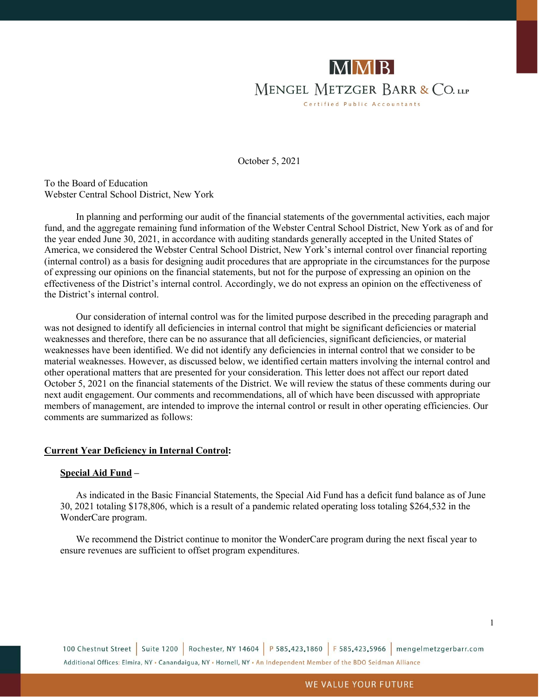

October 5, 2021

To the Board of Education Webster Central School District, New York

In planning and performing our audit of the financial statements of the governmental activities, each major fund, and the aggregate remaining fund information of the Webster Central School District, New York as of and for the year ended June 30, 2021, in accordance with auditing standards generally accepted in the United States of America, we considered the Webster Central School District, New York's internal control over financial reporting (internal control) as a basis for designing audit procedures that are appropriate in the circumstances for the purpose of expressing our opinions on the financial statements, but not for the purpose of expressing an opinion on the effectiveness of the District's internal control. Accordingly, we do not express an opinion on the effectiveness of the District's internal control.

Our consideration of internal control was for the limited purpose described in the preceding paragraph and was not designed to identify all deficiencies in internal control that might be significant deficiencies or material weaknesses and therefore, there can be no assurance that all deficiencies, significant deficiencies, or material weaknesses have been identified. We did not identify any deficiencies in internal control that we consider to be material weaknesses. However, as discussed below, we identified certain matters involving the internal control and other operational matters that are presented for your consideration. This letter does not affect our report dated October 5, 2021 on the financial statements of the District. We will review the status of these comments during our next audit engagement. Our comments and recommendations, all of which have been discussed with appropriate members of management, are intended to improve the internal control or result in other operating efficiencies. Our comments are summarized as follows:

#### **Current Year Deficiency in Internal Control:**

#### **Special Aid Fund –**

As indicated in the Basic Financial Statements, the Special Aid Fund has a deficit fund balance as of June 30, 2021 totaling \$178,806, which is a result of a pandemic related operating loss totaling \$264,532 in the WonderCare program.

We recommend the District continue to monitor the WonderCare program during the next fiscal year to ensure revenues are sufficient to offset program expenditures.

100 Chestnut Street | Suite 1200 | Rochester, NY 14604 | P 585.423.1860 | F 585.423.5966 | mengelmetzgerbarr.com Additional Offices: Elmira, NY . Canandaigua, NY . Hornell, NY . An Independent Member of the BDO Seidman Alliance

1